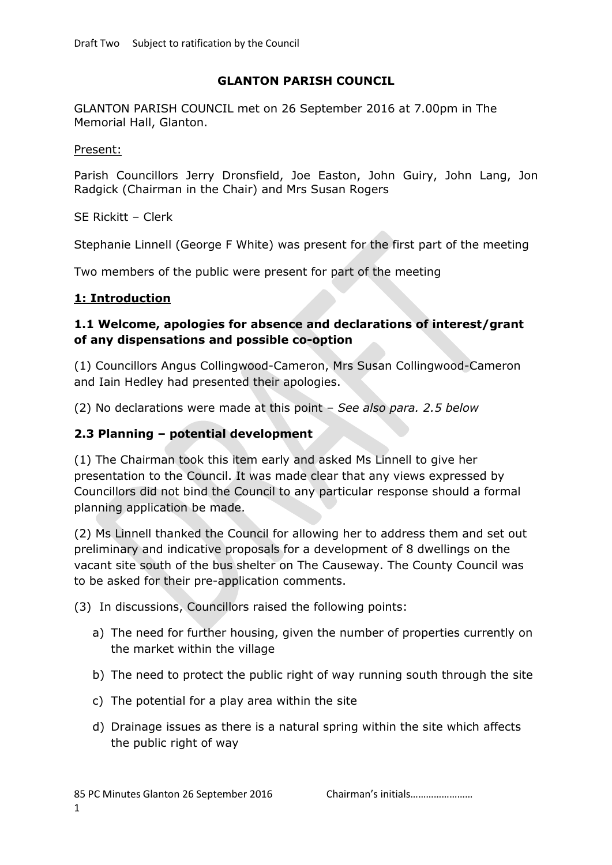### **GLANTON PARISH COUNCIL**

GLANTON PARISH COUNCIL met on 26 September 2016 at 7.00pm in The Memorial Hall, Glanton.

#### Present:

Parish Councillors Jerry Dronsfield, Joe Easton, John Guiry, John Lang, Jon Radgick (Chairman in the Chair) and Mrs Susan Rogers

SE Rickitt – Clerk

Stephanie Linnell (George F White) was present for the first part of the meeting

Two members of the public were present for part of the meeting

#### **1: Introduction**

### **1.1 Welcome, apologies for absence and declarations of interest/grant of any dispensations and possible co-option**

(1) Councillors Angus Collingwood-Cameron, Mrs Susan Collingwood-Cameron and Iain Hedley had presented their apologies.

(2) No declarations were made at this point – *See also para. 2.5 below*

### **2.3 Planning – potential development**

(1) The Chairman took this item early and asked Ms Linnell to give her presentation to the Council. It was made clear that any views expressed by Councillors did not bind the Council to any particular response should a formal planning application be made.

(2) Ms Linnell thanked the Council for allowing her to address them and set out preliminary and indicative proposals for a development of 8 dwellings on the vacant site south of the bus shelter on The Causeway. The County Council was to be asked for their pre-application comments.

(3) In discussions, Councillors raised the following points:

- a) The need for further housing, given the number of properties currently on the market within the village
- b) The need to protect the public right of way running south through the site
- c) The potential for a play area within the site
- d) Drainage issues as there is a natural spring within the site which affects the public right of way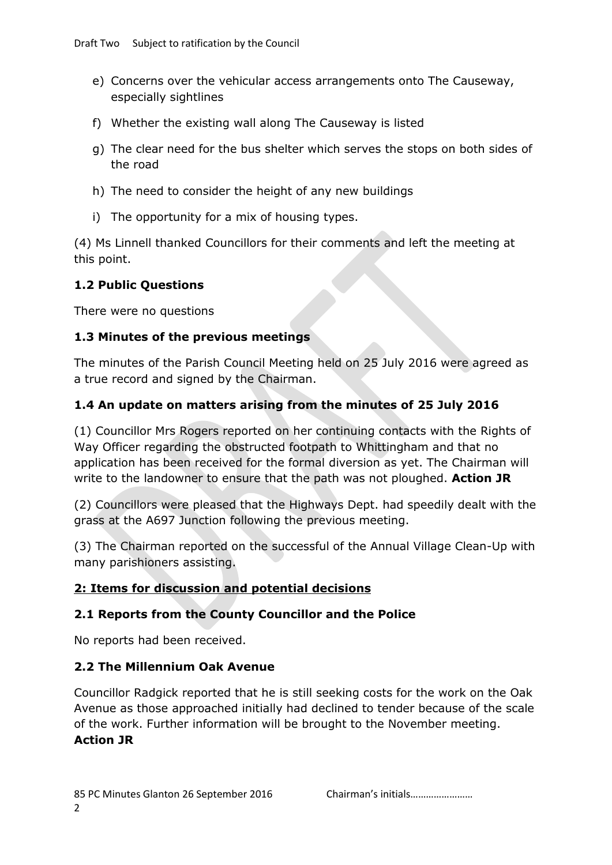- e) Concerns over the vehicular access arrangements onto The Causeway, especially sightlines
- f) Whether the existing wall along The Causeway is listed
- g) The clear need for the bus shelter which serves the stops on both sides of the road
- h) The need to consider the height of any new buildings
- i) The opportunity for a mix of housing types.

(4) Ms Linnell thanked Councillors for their comments and left the meeting at this point.

## **1.2 Public Questions**

There were no questions

## **1.3 Minutes of the previous meetings**

The minutes of the Parish Council Meeting held on 25 July 2016 were agreed as a true record and signed by the Chairman.

## **1.4 An update on matters arising from the minutes of 25 July 2016**

(1) Councillor Mrs Rogers reported on her continuing contacts with the Rights of Way Officer regarding the obstructed footpath to Whittingham and that no application has been received for the formal diversion as yet. The Chairman will write to the landowner to ensure that the path was not ploughed. **Action JR**

(2) Councillors were pleased that the Highways Dept. had speedily dealt with the grass at the A697 Junction following the previous meeting.

(3) The Chairman reported on the successful of the Annual Village Clean-Up with many parishioners assisting.

## **2: Items for discussion and potential decisions**

## **2.1 Reports from the County Councillor and the Police**

No reports had been received.

## **2.2 The Millennium Oak Avenue**

Councillor Radgick reported that he is still seeking costs for the work on the Oak Avenue as those approached initially had declined to tender because of the scale of the work. Further information will be brought to the November meeting. **Action JR**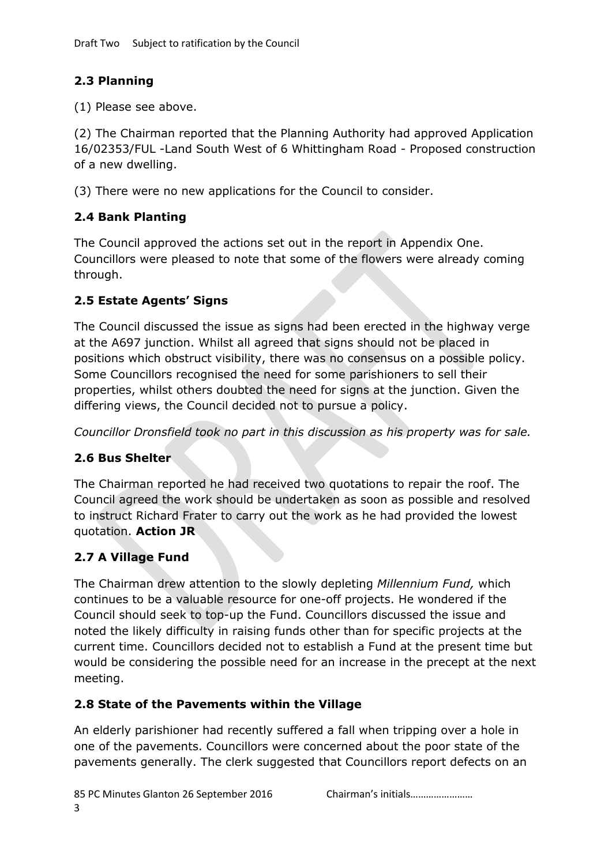# **2.3 Planning**

(1) Please see above.

(2) The Chairman reported that the Planning Authority had approved Application 16/02353/FUL -Land South West of 6 Whittingham Road - Proposed construction of a new dwelling.

(3) There were no new applications for the Council to consider.

# **2.4 Bank Planting**

The Council approved the actions set out in the report in Appendix One. Councillors were pleased to note that some of the flowers were already coming through.

# **2.5 Estate Agents' Signs**

The Council discussed the issue as signs had been erected in the highway verge at the A697 junction. Whilst all agreed that signs should not be placed in positions which obstruct visibility, there was no consensus on a possible policy. Some Councillors recognised the need for some parishioners to sell their properties, whilst others doubted the need for signs at the junction. Given the differing views, the Council decided not to pursue a policy.

*Councillor Dronsfield took no part in this discussion as his property was for sale.*

# **2.6 Bus Shelter**

The Chairman reported he had received two quotations to repair the roof. The Council agreed the work should be undertaken as soon as possible and resolved to instruct Richard Frater to carry out the work as he had provided the lowest quotation. **Action JR**

# **2.7 A Village Fund**

The Chairman drew attention to the slowly depleting *Millennium Fund,* which continues to be a valuable resource for one-off projects. He wondered if the Council should seek to top-up the Fund. Councillors discussed the issue and noted the likely difficulty in raising funds other than for specific projects at the current time. Councillors decided not to establish a Fund at the present time but would be considering the possible need for an increase in the precept at the next meeting.

# **2.8 State of the Pavements within the Village**

An elderly parishioner had recently suffered a fall when tripping over a hole in one of the pavements. Councillors were concerned about the poor state of the pavements generally. The clerk suggested that Councillors report defects on an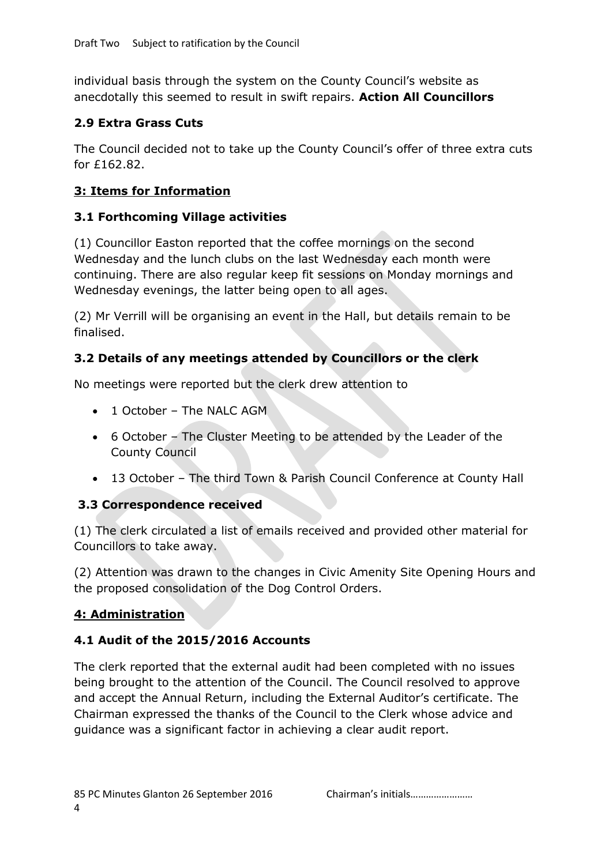individual basis through the system on the County Council's website as anecdotally this seemed to result in swift repairs. **Action All Councillors**

## **2.9 Extra Grass Cuts**

The Council decided not to take up the County Council's offer of three extra cuts for £162.82.

## **3: Items for Information**

## **3.1 Forthcoming Village activities**

(1) Councillor Easton reported that the coffee mornings on the second Wednesday and the lunch clubs on the last Wednesday each month were continuing. There are also regular keep fit sessions on Monday mornings and Wednesday evenings, the latter being open to all ages.

(2) Mr Verrill will be organising an event in the Hall, but details remain to be finalised.

# **3.2 Details of any meetings attended by Councillors or the clerk**

No meetings were reported but the clerk drew attention to

- 1 October The NALC AGM
- 6 October The Cluster Meeting to be attended by the Leader of the County Council
- 13 October The third Town & Parish Council Conference at County Hall

# **3.3 Correspondence received**

(1) The clerk circulated a list of emails received and provided other material for Councillors to take away.

(2) Attention was drawn to the changes in Civic Amenity Site Opening Hours and the proposed consolidation of the Dog Control Orders.

# **4: Administration**

# **4.1 Audit of the 2015/2016 Accounts**

The clerk reported that the external audit had been completed with no issues being brought to the attention of the Council. The Council resolved to approve and accept the Annual Return, including the External Auditor's certificate. The Chairman expressed the thanks of the Council to the Clerk whose advice and guidance was a significant factor in achieving a clear audit report.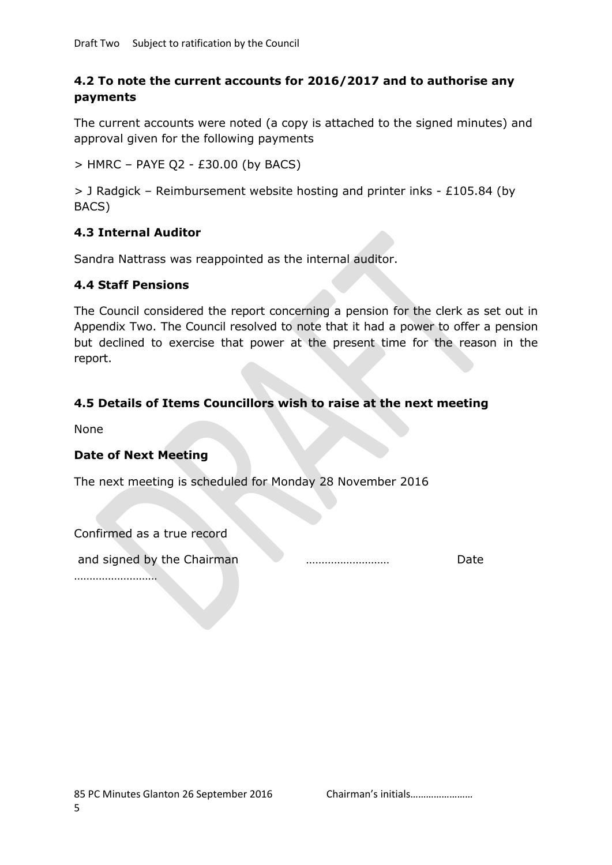## **4.2 To note the current accounts for 2016/2017 and to authorise any payments**

The current accounts were noted (a copy is attached to the signed minutes) and approval given for the following payments

 $>$  HMRC – PAYE Q2 - £30.00 (by BACS)

> J Radgick – Reimbursement website hosting and printer inks - £105.84 (by BACS)

## **4.3 Internal Auditor**

Sandra Nattrass was reappointed as the internal auditor.

#### **4.4 Staff Pensions**

The Council considered the report concerning a pension for the clerk as set out in Appendix Two. The Council resolved to note that it had a power to offer a pension but declined to exercise that power at the present time for the reason in the report.

### **4.5 Details of Items Councillors wish to raise at the next meeting**

None

#### **Date of Next Meeting**

The next meeting is scheduled for Monday 28 November 2016

| Confirmed as a true record |  |      |
|----------------------------|--|------|
| and signed by the Chairman |  | Date |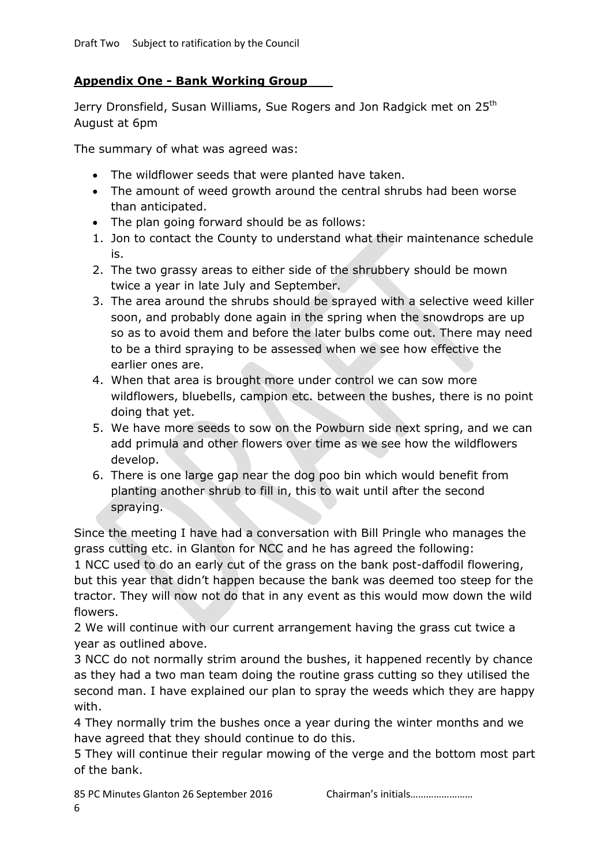## **Appendix One - Bank Working Group**

Jerry Dronsfield, Susan Williams, Sue Rogers and Jon Radgick met on 25<sup>th</sup> August at 6pm

The summary of what was agreed was:

- The wildflower seeds that were planted have taken.
- The amount of weed growth around the central shrubs had been worse than anticipated.
- The plan going forward should be as follows:
- 1. Jon to contact the County to understand what their maintenance schedule is.
- 2. The two grassy areas to either side of the shrubbery should be mown twice a year in late July and September.
- 3. The area around the shrubs should be sprayed with a selective weed killer soon, and probably done again in the spring when the snowdrops are up so as to avoid them and before the later bulbs come out. There may need to be a third spraying to be assessed when we see how effective the earlier ones are.
- 4. When that area is brought more under control we can sow more wildflowers, bluebells, campion etc. between the bushes, there is no point doing that yet.
- 5. We have more seeds to sow on the Powburn side next spring, and we can add primula and other flowers over time as we see how the wildflowers develop.
- 6. There is one large gap near the dog poo bin which would benefit from planting another shrub to fill in, this to wait until after the second spraying.

Since the meeting I have had a conversation with Bill Pringle who manages the grass cutting etc. in Glanton for NCC and he has agreed the following:

1 NCC used to do an early cut of the grass on the bank post-daffodil flowering, but this year that didn't happen because the bank was deemed too steep for the tractor. They will now not do that in any event as this would mow down the wild flowers.

2 We will continue with our current arrangement having the grass cut twice a year as outlined above.

3 NCC do not normally strim around the bushes, it happened recently by chance as they had a two man team doing the routine grass cutting so they utilised the second man. I have explained our plan to spray the weeds which they are happy with.

4 They normally trim the bushes once a year during the winter months and we have agreed that they should continue to do this.

5 They will continue their regular mowing of the verge and the bottom most part of the bank.

85 PC Minutes Glanton 26 September 2016 Chairman's initials...................... 6